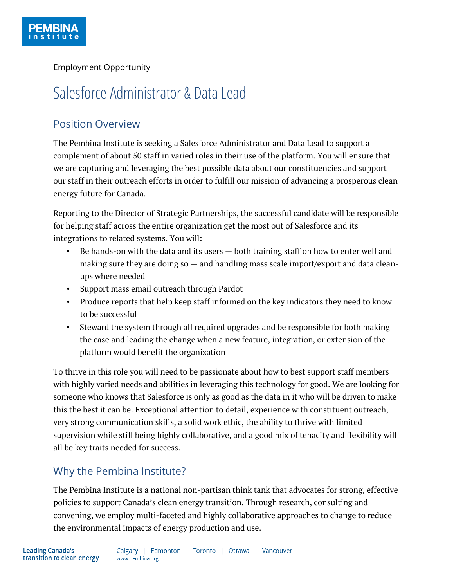Employment Opportunity

# Salesforce Administrator & Data Lead

#### Position Overview

The Pembina Institute is seeking a Salesforce Administrator and Data Lead to support a complement of about 50 staff in varied roles in their use of the platform. You will ensure that we are capturing and leveraging the best possible data about our constituencies and support our staff in their outreach efforts in order to fulfill our mission of advancing a prosperous clean energy future for Canada.

Reporting to the Director of Strategic Partnerships, the successful candidate will be responsible for helping staff across the entire organization get the most out of Salesforce and its integrations to related systems. You will:

- Be hands-on with the data and its users both training staff on how to enter well and making sure they are doing so — and handling mass scale import/export and data cleanups where needed
- Support mass email outreach through Pardot
- Produce reports that help keep staff informed on the key indicators they need to know to be successful
- Steward the system through all required upgrades and be responsible for both making the case and leading the change when a new feature, integration, or extension of the platform would benefit the organization

To thrive in this role you will need to be passionate about how to best support staff members with highly varied needs and abilities in leveraging this technology for good. We are looking for someone who knows that Salesforce is only as good as the data in it who will be driven to make this the best it can be. Exceptional attention to detail, experience with constituent outreach, very strong communication skills, a solid work ethic, the ability to thrive with limited supervision while still being highly collaborative, and a good mix of tenacity and flexibility will all be key traits needed for success.

#### Why the Pembina Institute?

The Pembina Institute is a national non-partisan think tank that advocates for strong, effective policies to support Canada's clean energy transition. Through research, consulting and convening, we employ multi-faceted and highly collaborative approaches to change to reduce the environmental impacts of energy production and use.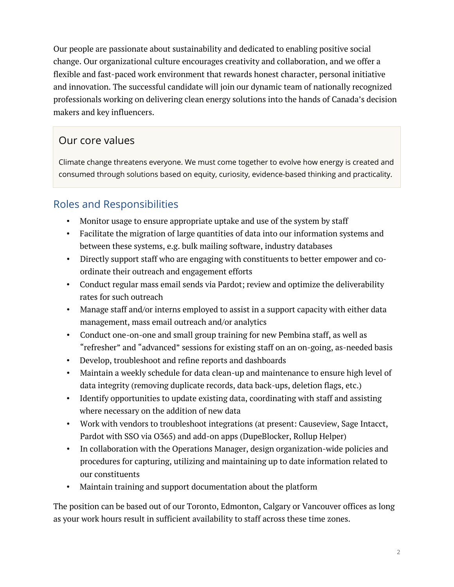Our people are passionate about sustainability and dedicated to enabling positive social change. Our organizational culture encourages creativity and collaboration, and we offer a flexible and fast-paced work environment that rewards honest character, personal initiative and innovation. The successful candidate will join our dynamic team of nationally recognized professionals working on delivering clean energy solutions into the hands of Canada's decision makers and key influencers.

#### Our core values

Climate change threatens everyone. We must come together to evolve how energy is created and consumed through solutions based on equity, curiosity, evidence-based thinking and practicality.

### Roles and Responsibilities

- Monitor usage to ensure appropriate uptake and use of the system by staff
- Facilitate the migration of large quantities of data into our information systems and between these systems, e.g. bulk mailing software, industry databases
- Directly support staff who are engaging with constituents to better empower and coordinate their outreach and engagement efforts
- Conduct regular mass email sends via Pardot; review and optimize the deliverability rates for such outreach
- Manage staff and/or interns employed to assist in a support capacity with either data management, mass email outreach and/or analytics
- Conduct one-on-one and small group training for new Pembina staff, as well as "refresher" and "advanced" sessions for existing staff on an on-going, as-needed basis
- Develop, troubleshoot and refine reports and dashboards
- Maintain a weekly schedule for data clean-up and maintenance to ensure high level of data integrity (removing duplicate records, data back-ups, deletion flags, etc.)
- Identify opportunities to update existing data, coordinating with staff and assisting where necessary on the addition of new data
- Work with vendors to troubleshoot integrations (at present: Causeview, Sage Intacct, Pardot with SSO via O365) and add-on apps (DupeBlocker, Rollup Helper)
- In collaboration with the Operations Manager, design organization-wide policies and procedures for capturing, utilizing and maintaining up to date information related to our constituents
- Maintain training and support documentation about the platform

The position can be based out of our Toronto, Edmonton, Calgary or Vancouver offices as long as your work hours result in sufficient availability to staff across these time zones.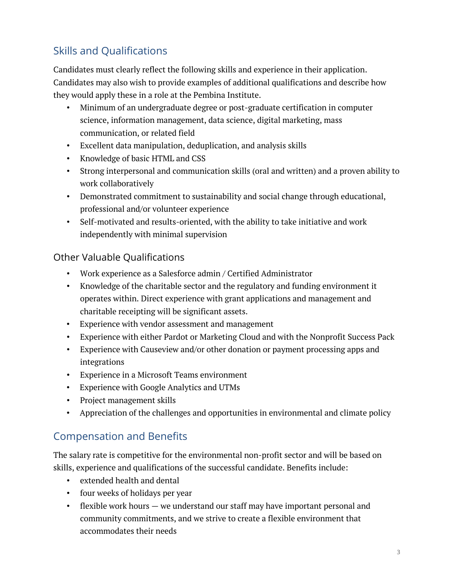# Skills and Qualifications

Candidates must clearly reflect the following skills and experience in their application. Candidates may also wish to provide examples of additional qualifications and describe how they would apply these in a role at the Pembina Institute.

- Minimum of an undergraduate degree or post-graduate certification in computer science, information management, data science, digital marketing, mass communication, or related field
- Excellent data manipulation, deduplication, and analysis skills
- Knowledge of basic HTML and CSS
- Strong interpersonal and communication skills (oral and written) and a proven ability to work collaboratively
- Demonstrated commitment to sustainability and social change through educational, professional and/or volunteer experience
- Self-motivated and results-oriented, with the ability to take initiative and work independently with minimal supervision

#### Other Valuable Qualifications

- Work experience as a Salesforce admin / Certified Administrator
- Knowledge of the charitable sector and the regulatory and funding environment it operates within. Direct experience with grant applications and management and charitable receipting will be significant assets.
- Experience with vendor assessment and management
- Experience with either Pardot or Marketing Cloud and with the Nonprofit Success Pack
- Experience with Causeview and/or other donation or payment processing apps and integrations
- Experience in a Microsoft Teams environment
- Experience with Google Analytics and UTMs
- Project management skills
- Appreciation of the challenges and opportunities in environmental and climate policy

#### Compensation and Benefits

The salary rate is competitive for the environmental non-profit sector and will be based on skills, experience and qualifications of the successful candidate. Benefits include:

- extended health and dental
- four weeks of holidays per year
- flexible work hours we understand our staff may have important personal and community commitments, and we strive to create a flexible environment that accommodates their needs